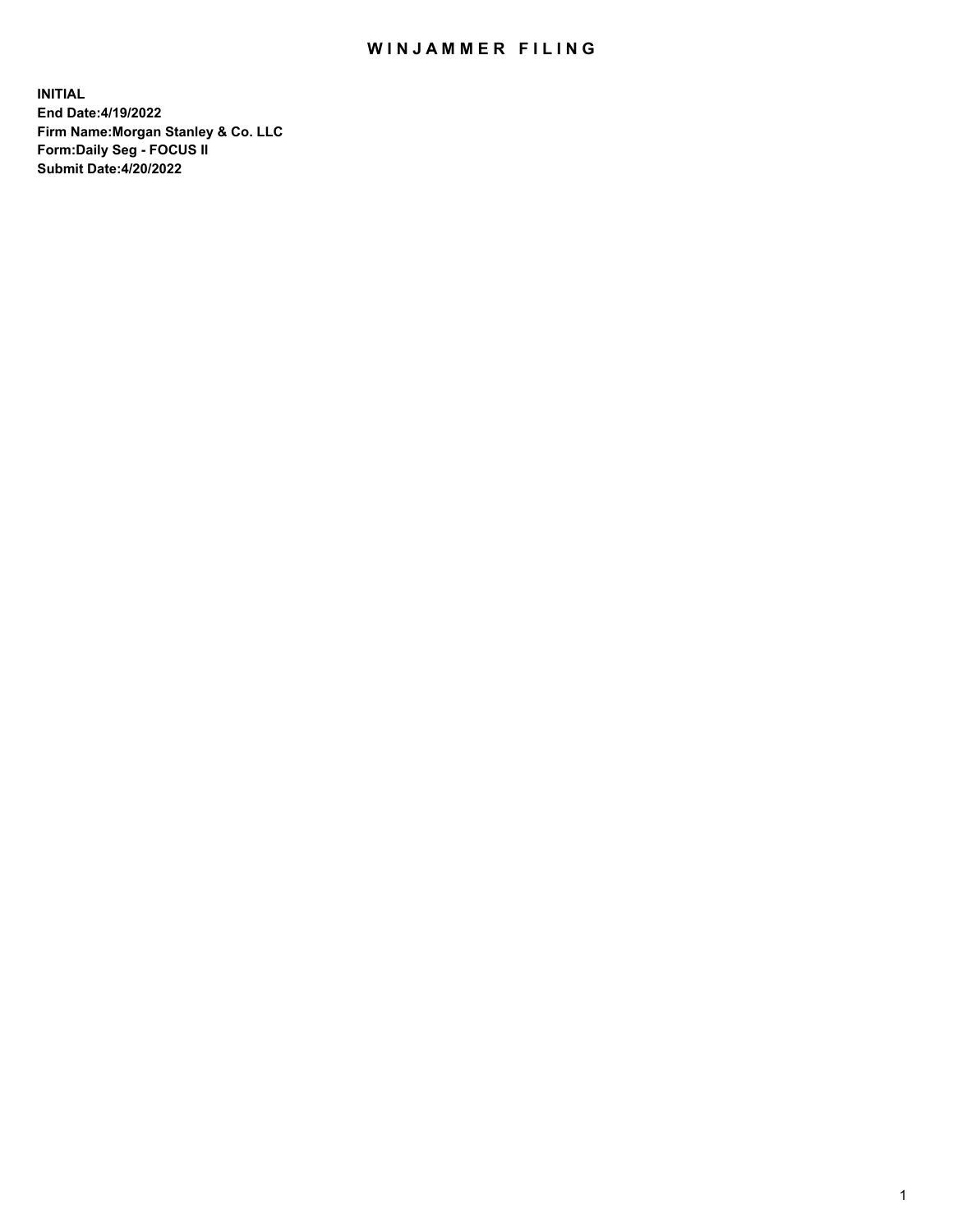## WIN JAMMER FILING

**INITIAL End Date:4/19/2022 Firm Name:Morgan Stanley & Co. LLC Form:Daily Seg - FOCUS II Submit Date:4/20/2022**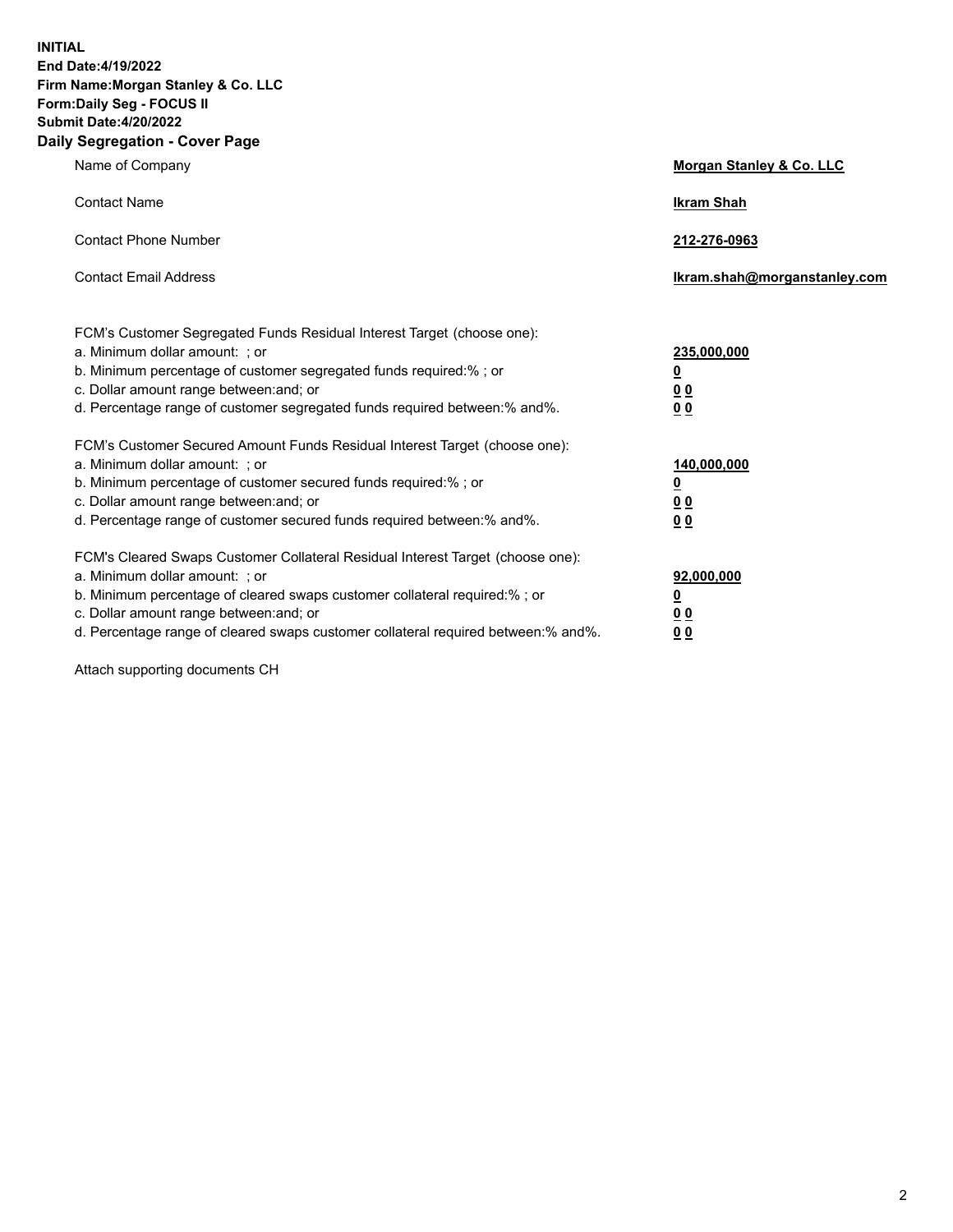**INITIAL End Date:4/19/2022 Firm Name:Morgan Stanley & Co. LLC Form:Daily Seg - FOCUS II Submit Date:4/20/2022 Daily Segregation - Cover Page**

| Name of Company                                                                                                                                                                                                                                                                                                                | Morgan Stanley & Co. LLC                               |
|--------------------------------------------------------------------------------------------------------------------------------------------------------------------------------------------------------------------------------------------------------------------------------------------------------------------------------|--------------------------------------------------------|
| <b>Contact Name</b>                                                                                                                                                                                                                                                                                                            | <b>Ikram Shah</b>                                      |
| <b>Contact Phone Number</b>                                                                                                                                                                                                                                                                                                    | 212-276-0963                                           |
| <b>Contact Email Address</b>                                                                                                                                                                                                                                                                                                   | Ikram.shah@morganstanley.com                           |
| FCM's Customer Segregated Funds Residual Interest Target (choose one):<br>a. Minimum dollar amount: ; or<br>b. Minimum percentage of customer segregated funds required:% ; or<br>c. Dollar amount range between: and; or<br>d. Percentage range of customer segregated funds required between:% and%.                         | 235,000,000<br><u>0</u><br>0 <sup>0</sup><br><u>00</u> |
| FCM's Customer Secured Amount Funds Residual Interest Target (choose one):<br>a. Minimum dollar amount: ; or<br>b. Minimum percentage of customer secured funds required:% ; or<br>c. Dollar amount range between: and; or<br>d. Percentage range of customer secured funds required between:% and%.                           | 140,000,000<br><u>0</u><br><u>00</u><br>00             |
| FCM's Cleared Swaps Customer Collateral Residual Interest Target (choose one):<br>a. Minimum dollar amount: ; or<br>b. Minimum percentage of cleared swaps customer collateral required:% ; or<br>c. Dollar amount range between: and; or<br>d. Percentage range of cleared swaps customer collateral required between:% and%. | 92,000,000<br><u>0</u><br><u>00</u><br>00              |

Attach supporting documents CH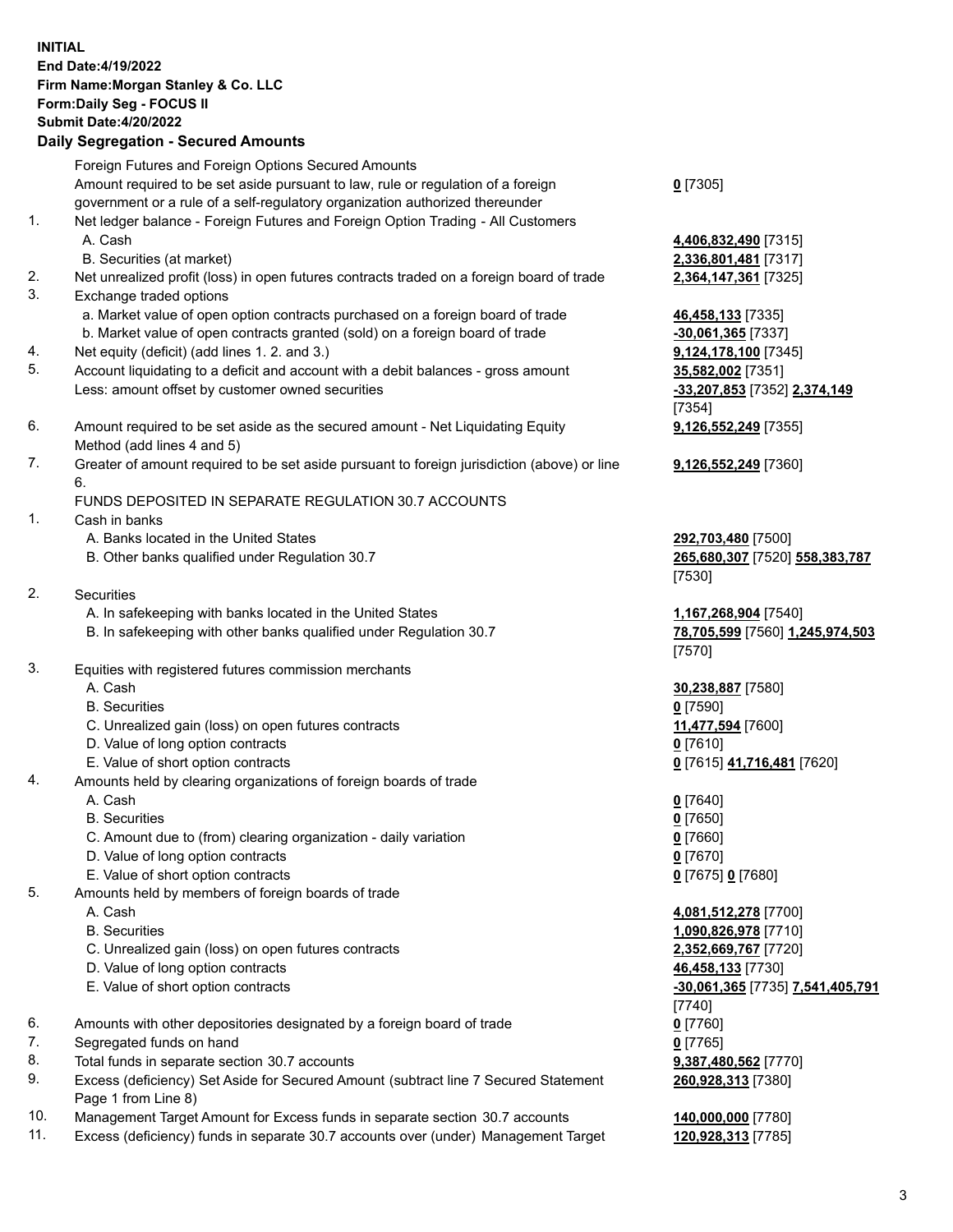## **INITIAL End Date:4/19/2022 Firm Name:Morgan Stanley & Co. LLC Form:Daily Seg - FOCUS II Submit Date:4/20/2022 Daily Segregation - Secured Amounts** Foreign Futures and Foreign Options Secured Amounts Amount required to be set aside pursuant to law, rule or regulation of a foreign government or a rule of a self-regulatory organization authorized thereunder **0** [7305] 1. Net ledger balance - Foreign Futures and Foreign Option Trading - All Customers A. Cash **4,406,832,490** [7315] B. Securities (at market) **2,336,801,481** [7317] 2. Net unrealized profit (loss) in open futures contracts traded on a foreign board of trade **2,364,147,361** [7325] 3. Exchange traded options a. Market value of open option contracts purchased on a foreign board of trade **46,458,133** [7335] b. Market value of open contracts granted (sold) on a foreign board of trade **-30,061,365** [7337] 4. Net equity (deficit) (add lines 1. 2. and 3.) **9,124,178,100** [7345] 5. Account liquidating to a deficit and account with a debit balances - gross amount **35,582,002** [7351] Less: amount offset by customer owned securities **-33,207,853** [7352] **2,374,149** [7354] 6. Amount required to be set aside as the secured amount - Net Liquidating Equity Method (add lines 4 and 5) **9,126,552,249** [7355] 7. Greater of amount required to be set aside pursuant to foreign jurisdiction (above) or line 6. **9,126,552,249** [7360] FUNDS DEPOSITED IN SEPARATE REGULATION 30.7 ACCOUNTS 1. Cash in banks A. Banks located in the United States **292,703,480** [7500] B. Other banks qualified under Regulation 30.7 **265,680,307** [7520] **558,383,787** [7530] 2. Securities A. In safekeeping with banks located in the United States **1,167,268,904** [7540] B. In safekeeping with other banks qualified under Regulation 30.7 **78,705,599** [7560] **1,245,974,503** [7570] 3. Equities with registered futures commission merchants A. Cash **30,238,887** [7580] B. Securities **0** [7590] C. Unrealized gain (loss) on open futures contracts **11,477,594** [7600] D. Value of long option contracts **0** [7610] E. Value of short option contracts **0** [7615] **41,716,481** [7620] 4. Amounts held by clearing organizations of foreign boards of trade A. Cash **0** [7640] B. Securities **0** [7650] C. Amount due to (from) clearing organization - daily variation **0** [7660] D. Value of long option contracts **0** [7670] E. Value of short option contracts **0** [7675] **0** [7680] 5. Amounts held by members of foreign boards of trade A. Cash **4,081,512,278** [7700] B. Securities **1,090,826,978** [7710] C. Unrealized gain (loss) on open futures contracts **2,352,669,767** [7720] D. Value of long option contracts **46,458,133** [7730] E. Value of short option contracts **-30,061,365** [7735] **7,541,405,791** [7740] 6. Amounts with other depositories designated by a foreign board of trade **0** [7760] 7. Segregated funds on hand **0** [7765] 8. Total funds in separate section 30.7 accounts **9,387,480,562** [7770] 9. Excess (deficiency) Set Aside for Secured Amount (subtract line 7 Secured Statement **260,928,313** [7380]

- Page 1 from Line 8)
- 10. Management Target Amount for Excess funds in separate section 30.7 accounts **140,000,000** [7780]
- 11. Excess (deficiency) funds in separate 30.7 accounts over (under) Management Target **120,928,313** [7785]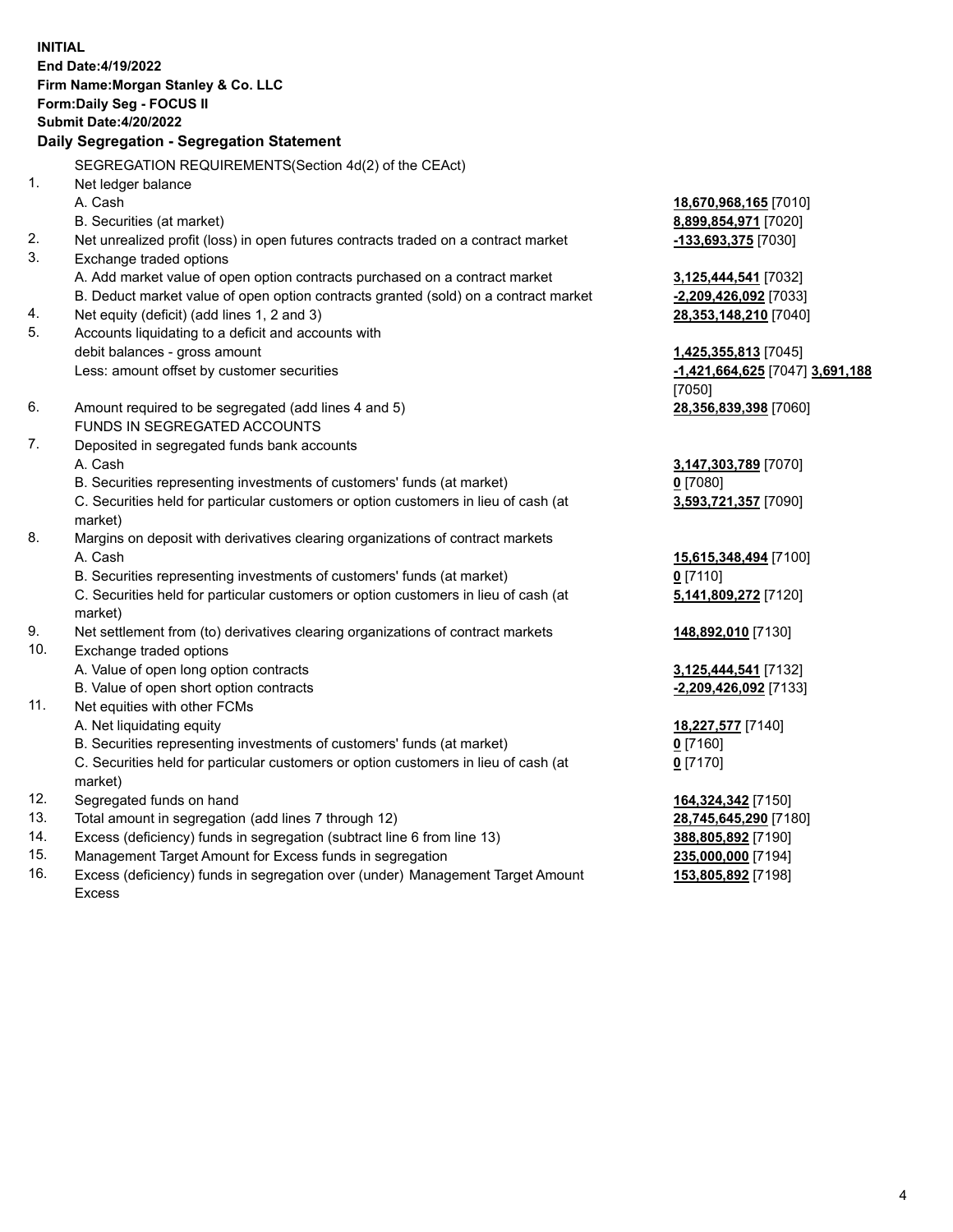**INITIAL End Date:4/19/2022 Firm Name:Morgan Stanley & Co. LLC Form:Daily Seg - FOCUS II Submit Date:4/20/2022 Daily Segregation - Segregation Statement** SEGREGATION REQUIREMENTS(Section 4d(2) of the CEAct) 1. Net ledger balance A. Cash **18,670,968,165** [7010] B. Securities (at market) **8,899,854,971** [7020] 2. Net unrealized profit (loss) in open futures contracts traded on a contract market **-133,693,375** [7030] 3. Exchange traded options A. Add market value of open option contracts purchased on a contract market **3,125,444,541** [7032] B. Deduct market value of open option contracts granted (sold) on a contract market **-2,209,426,092** [7033] 4. Net equity (deficit) (add lines 1, 2 and 3) **28,353,148,210** [7040] 5. Accounts liquidating to a deficit and accounts with debit balances - gross amount **1,425,355,813** [7045] Less: amount offset by customer securities **-1,421,664,625** [7047] **3,691,188** [7050] 6. Amount required to be segregated (add lines 4 and 5) **28,356,839,398** [7060] FUNDS IN SEGREGATED ACCOUNTS 7. Deposited in segregated funds bank accounts A. Cash **3,147,303,789** [7070] B. Securities representing investments of customers' funds (at market) **0** [7080] C. Securities held for particular customers or option customers in lieu of cash (at market) **3,593,721,357** [7090] 8. Margins on deposit with derivatives clearing organizations of contract markets A. Cash **15,615,348,494** [7100] B. Securities representing investments of customers' funds (at market) **0** [7110] C. Securities held for particular customers or option customers in lieu of cash (at market) **5,141,809,272** [7120] 9. Net settlement from (to) derivatives clearing organizations of contract markets **148,892,010** [7130] 10. Exchange traded options A. Value of open long option contracts **3,125,444,541** [7132] B. Value of open short option contracts **-2,209,426,092** [7133] 11. Net equities with other FCMs A. Net liquidating equity **18,227,577** [7140] B. Securities representing investments of customers' funds (at market) **0** [7160] C. Securities held for particular customers or option customers in lieu of cash (at market) **0** [7170] 12. Segregated funds on hand **164,324,342** [7150] 13. Total amount in segregation (add lines 7 through 12) **28,745,645,290** [7180] 14. Excess (deficiency) funds in segregation (subtract line 6 from line 13) **388,805,892** [7190] 15. Management Target Amount for Excess funds in segregation **235,000,000** [7194]

16. Excess (deficiency) funds in segregation over (under) Management Target Amount Excess

**153,805,892** [7198]